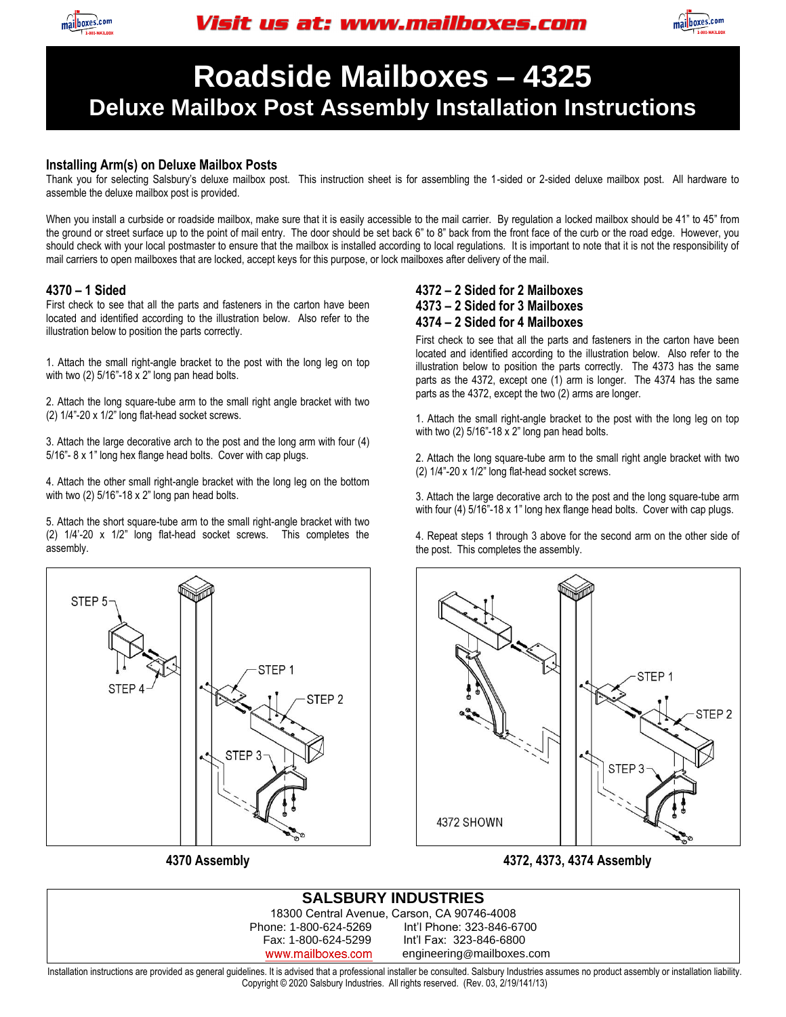



## **Roadside Mailboxes – 4325 Deluxe Mailbox Post Assembly Installation Instructions**

#### **Installing Arm(s) on Deluxe Mailbox Posts**

Thank you for selecting Salsbury's deluxe mailbox post. This instruction sheet is for assembling the 1-sided or 2-sided deluxe mailbox post. All hardware to assemble the deluxe mailbox post is provided.

When you install a curbside or roadside mailbox, make sure that it is easily accessible to the mail carrier. By regulation a locked mailbox should be 41" to 45" from the ground or street surface up to the point of mail entry. The door should be set back 6" to 8" back from the front face of the curb or the road edge. However, you should check with your local postmaster to ensure that the mailbox is installed according to local regulations. It is important to note that it is not the responsibility of mail carriers to open mailboxes that are locked, accept keys for this purpose, or lock mailboxes after delivery of the mail.

#### **4370 – 1 Sided**

First check to see that all the parts and fasteners in the carton have been located and identified according to the illustration below. Also refer to the illustration below to position the parts correctly.

1. Attach the small right-angle bracket to the post with the long leg on top with two (2) 5/16"-18 x 2" long pan head bolts.

2. Attach the long square-tube arm to the small right angle bracket with two (2) 1/4"-20 x 1/2" long flat-head socket screws.

3. Attach the large decorative arch to the post and the long arm with four (4) 5/16"- 8 x 1" long hex flange head bolts. Cover with cap plugs.

4. Attach the other small right-angle bracket with the long leg on the bottom with two (2) 5/16"-18 x 2" long pan head bolts.

5. Attach the short square-tube arm to the small right-angle bracket with two (2) 1/4'-20 x 1/2" long flat-head socket screws. This completes the assembly.



**4370 Assembly** 

#### **4372 – 2 Sided for 2 Mailboxes 4373 – 2 Sided for 3 Mailboxes 4374 – 2 Sided for 4 Mailboxes**

First check to see that all the parts and fasteners in the carton have been located and identified according to the illustration below. Also refer to the illustration below to position the parts correctly. The 4373 has the same parts as the 4372, except one (1) arm is longer. The 4374 has the same parts as the 4372, except the two (2) arms are longer.

1. Attach the small right-angle bracket to the post with the long leg on top with two (2) 5/16"-18 x 2" long pan head bolts.

2. Attach the long square-tube arm to the small right angle bracket with two (2) 1/4"-20 x 1/2" long flat-head socket screws.

3. Attach the large decorative arch to the post and the long square-tube arm with four (4) 5/16"-18 x 1" long hex flange head bolts. Cover with cap plugs.

4. Repeat steps 1 through 3 above for the second arm on the other side of the post. This completes the assembly.



**4372, 4373, 4374 Assembly**

#### **SALSBURY INDUSTRIES** 18300 Central Avenue, Carson, CA 90746-4008 Int'l Phone: 323-846-6700 Fax: 1-800-624-5299 Int'l Fax: 323-846-6800 www.mailboxes.com engineering@mailboxes.com

Installation instructions are provided as general guidelines. It is advised that a professional installer be consulted. Salsbury Industries assumes no product assembly or installation liability. Copyright © 2020 Salsbury Industries. All rights reserved. (Rev. 03, 2/19/141/13)